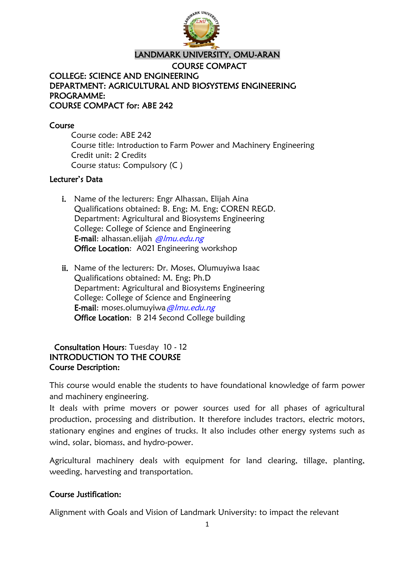

#### LANDMARK UNIVERSITY, OMU-ARAN

COURSE COMPACT COLLEGE: SCIENCE AND ENGINEERING DEPARTMENT: AGRICULTURAL AND BIOSYSTEMS ENGINEERING PROGRAMME: COURSE COMPACT for: ABE 242

#### Course

Course code: ABE 242 Course title: Introduction to Farm Power and Machinery Engineering Credit unit: 2 Credits Course status: Compulsory (C )

#### Lecturer's Data

- i. Name of the lecturers: Engr Alhassan, Elijah Aina Qualifications obtained: B. Eng; M. Eng; COREN REGD. Department: Agricultural and Biosystems Engineering College: College of Science and Engineering E-mail: alhassan.elijah *@lmu.edu.ng* Office Location: A021 Engineering workshop
- ii. Name of the lecturers: Dr. Moses, Olumuyiwa Isaac Qualifications obtained: M. Eng; Ph.D Department: Agricultural and Biosystems Engineering College: College of Science and Engineering E-mail: moses.olumuyiwa@lmu.edu.ng Office Location: B 214 Second College building

## Consultation Hours: Tuesday 10 - 12 INTRODUCTION TO THE COURSE Course Description:

This course would enable the students to have foundational knowledge of farm power and machinery engineering.

It deals with prime movers or power sources used for all phases of agricultural production, processing and distribution. It therefore includes tractors, electric motors, stationary engines and engines of trucks. It also includes other energy systems such as wind, solar, biomass, and hydro-power.

Agricultural machinery deals with equipment for land clearing, tillage, planting, weeding, harvesting and transportation.

## Course Justification:

Alignment with Goals and Vision of Landmark University: to impact the relevant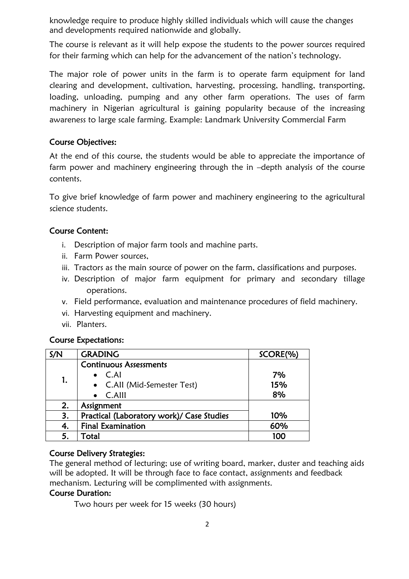knowledge require to produce highly skilled individuals which will cause the changes and developments required nationwide and globally.

The course is relevant as it will help expose the students to the power sources required for their farming which can help for the advancement of the nation's technology.

The major role of power units in the farm is to operate farm equipment for land clearing and development, cultivation, harvesting, processing, handling, transporting, loading, unloading, pumping and any other farm operations. The uses of farm machinery in Nigerian agricultural is gaining popularity because of the increasing awareness to large scale farming. Example: Landmark University Commercial Farm

#### Course Objectives:

At the end of this course, the students would be able to appreciate the importance of farm power and machinery engineering through the in –depth analysis of the course contents.

To give brief knowledge of farm power and machinery engineering to the agricultural science students.

## Course Content:

- i. Description of major farm tools and machine parts.
- ii. Farm Power sources,
- iii. Tractors as the main source of power on the farm, classifications and purposes.
- iv. Description of major farm equipment for primary and secondary tillage operations.
- v. Field performance, evaluation and maintenance procedures of field machinery.
- vi. Harvesting equipment and machinery.
- vii. Planters.

## Course Expectations:

| S/N | <b>GRADING</b>                            | SCORE(%) |
|-----|-------------------------------------------|----------|
| 1.  | <b>Continuous Assessments</b>             |          |
|     | $\bullet$ C.Al                            | 7%       |
|     | • C.All (Mid-Semester Test)               | 15%      |
|     | $\bullet$ C.Alll                          | 8%       |
| 2.  | Assignment                                |          |
| 3.  | Practical (Laboratory work)/ Case Studies | 10%      |
| 4.  | <b>Final Examination</b>                  | 60%      |
| 5.  | Total                                     | 100      |

#### Course Delivery Strategies:

The general method of lecturing; use of writing board, marker, duster and teaching aids will be adopted. It will be through face to face contact, assignments and feedback mechanism. Lecturing will be complimented with assignments.

#### Course Duration:

Two hours per week for 15 weeks (30 hours)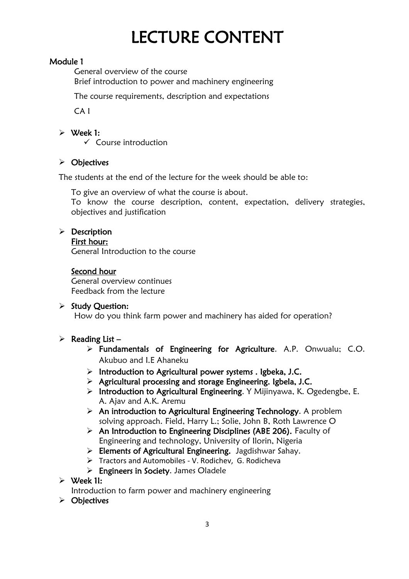# LECTURE CONTENT

## Module 1

 General overview of the course Brief introduction to power and machinery engineering

The course requirements, description and expectations

CA I

## $\triangleright$  Week 1:

 $\checkmark$  Course introduction

## > Objectives

The students at the end of the lecture for the week should be able to:

To give an overview of what the course is about.

To know the course description, content, expectation, delivery strategies, objectives and justification

## $\triangleright$  Description

#### First hour:

General Introduction to the course

## Second hour

General overview continues Feedback from the lecture

## $\triangleright$  Study Question:

How do you think farm power and machinery has aided for operation?

## $\triangleright$  Reading List –

- Fundamentals of Engineering for Agriculture. A.P. Onwualu; C.O. Akubuo and I.E Ahaneku
- $\triangleright$  Introduction to Agricultural power systems . Igbeka, J.C.
- $\triangleright$  Agricultural processing and storage Engineering. Igbela, J.C.
- $\triangleright$  Introduction to Agricultural Engineering. Y Mijinyawa, K. Ogedengbe, E. A. Ajav and A.K. Aremu
- $\triangleright$  An introduction to Agricultural Engineering Technology. A problem solving approach. Field, Harry L.; Solie, John B, Roth Lawrence O
- $\triangleright$  An Introduction to Engineering Disciplines (ABE 206). Faculty of Engineering and technology, University of Ilorin, Nigeria
- Elements of Agricultural Engineering. Jagdishwar Sahay.
- Tractors and Automobiles V. Rodichev, G. Rodicheva
- $\triangleright$  Engineers in Society. James Oladele
- Week 1I:

Introduction to farm power and machinery engineering

 $\triangleright$  Objectives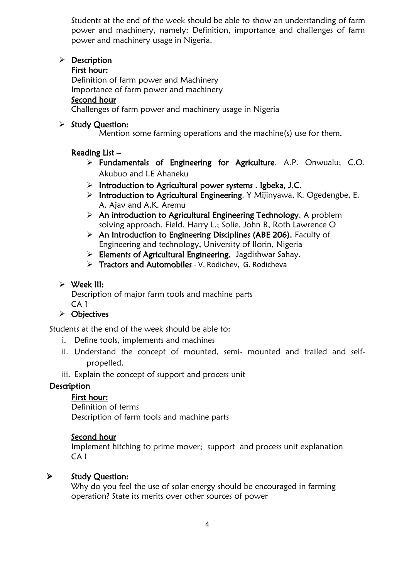Students at the end of the week should be able to show an understanding of farm power and machinery, namely: Definition, importance and challenges of farm power and machinery usage in Nigeria.

## $\triangleright$  Description

#### First hour:

Definition of farm power and Machinery Importance of farm power and machinery

## Second hour

Challenges of farm power and machinery usage in Nigeria

#### $\triangleright$  Study Question:

Mention some farming operations and the machine(s) use for them.

## Reading List –

- Fundamentals of Engineering for Agriculture. A.P. Onwualu; C.O. Akubuo and I.E Ahaneku
- $\triangleright$  Introduction to Agricultural power systems . Igbeka, J.C.
- $\triangleright$  Introduction to Agricultural Engineering. Y Mijinyawa, K. Ogedengbe, E. A. Ajav and A.K. Aremu
- $\triangleright$  An introduction to Agricultural Engineering Technology. A problem solving approach. Field, Harry L.; Solie, John B, Roth Lawrence O
- $\triangleright$  An Introduction to Engineering Disciplines (ABE 206). Faculty of Engineering and technology, University of Ilorin, Nigeria
- > Elements of Agricultural Engineering. Jagdishwar Sahay.
- > Tractors and Automobiles V. Rodichev, G. Rodicheva

## $\triangleright$  Week III:

Description of major farm tools and machine parts CA 1

## $\triangleright$  Objectives

Students at the end of the week should be able to:

- i. Define tools, implements and machines
- ii. Understand the concept of mounted, semi- mounted and trailed and selfpropelled.
- iii. Explain the concept of support and process unit

## **Description**

## First hour:

Definition of terms Description of farm tools and machine parts

## Second hour

Implement hitching to prime mover; support and process unit explanation CA I

## $\triangleright$  Study Question:

Why do you feel the use of solar energy should be encouraged in farming operation? State its merits over other sources of power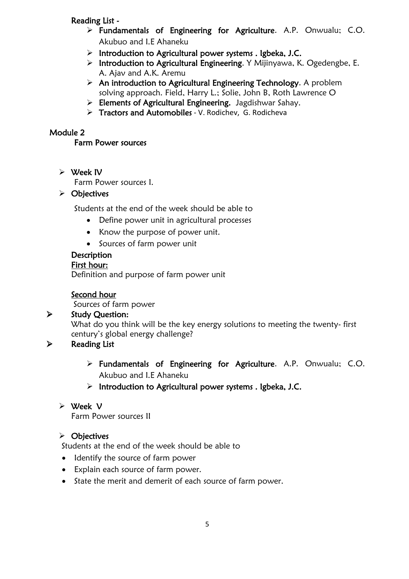## Reading List -

- Fundamentals of Engineering for Agriculture. A.P. Onwualu; C.O. Akubuo and I.E Ahaneku
- $\triangleright$  Introduction to Agricultural power systems . Igbeka, J.C.
- > Introduction to Agricultural Engineering. Y Mijinyawa, K. Ogedengbe, E. A. Ajav and A.K. Aremu
- $\triangleright$  An introduction to Agricultural Engineering Technology. A problem solving approach. Field, Harry L.; Solie, John B, Roth Lawrence O
- > Elements of Agricultural Engineering. Jagdishwar Sahay.
- Tractors and Automobiles V. Rodichev, G. Rodicheva

## Module 2

## Farm Power sources

#### Week IV

Farm Power sources I.

## $\triangleright$  Objectives

Students at the end of the week should be able to

- Define power unit in agricultural processes
- Know the purpose of power unit.
- Sources of farm power unit

## **Description**

#### First hour:

Definition and purpose of farm power unit

## Second hour

Sources of farm power

## $\triangleright$  Study Question:

What do you think will be the key energy solutions to meeting the twenty- first century's global energy challenge?

## $\triangleright$  Reading List

- Fundamentals of Engineering for Agriculture. A.P. Onwualu; C.O. Akubuo and I.E Ahaneku
- $\triangleright$  Introduction to Agricultural power systems . Igbeka, J.C.

## Week V

Farm Power sources II

## $\triangleright$  Objectives

Students at the end of the week should be able to

- Identify the source of farm power
- Explain each source of farm power.
- State the merit and demerit of each source of farm power.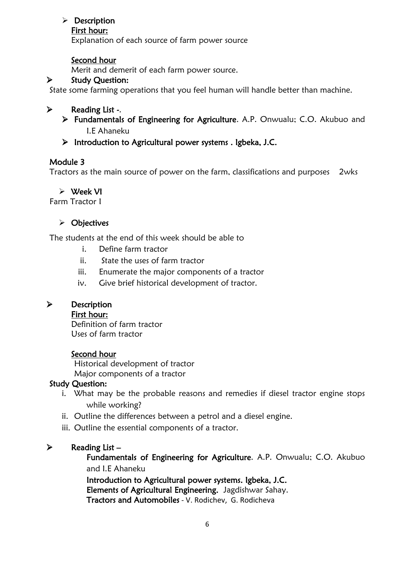## $\triangleright$  Description

#### First hour:

Explanation of each source of farm power source

## Second hour

Merit and demerit of each farm power source.

## $\triangleright$  Study Question:

State some farming operations that you feel human will handle better than machine.

## $\triangleright$  Reading List -.

- Fundamentals of Engineering for Agriculture. A.P. Onwualu; C.O. Akubuo and I.E Ahaneku
- $\triangleright$  Introduction to Agricultural power systems . Igbeka, J.C.

## Module 3

Tractors as the main source of power on the farm, classifications and purposes 2wks

## Week VI

Farm Tractor I

## $\triangleright$  Objectives

The students at the end of this week should be able to

- i. Define farm tractor
- ii. State the uses of farm tractor
- iii. Enumerate the major components of a tractor
- iv. Give brief historical development of tractor.

## > Description

First hour:

Definition of farm tractor Uses of farm tractor

## Second hour

Historical development of tractor Major components of a tractor

## Study Question:

- i. What may be the probable reasons and remedies if diesel tractor engine stops while working?
- ii. Outline the differences between a petrol and a diesel engine.
- iii. Outline the essential components of a tractor.

## $\triangleright$  Reading List –

Fundamentals of Engineering for Agriculture. A.P. Onwualu; C.O. Akubuo and I.E Ahaneku

Introduction to Agricultural power systems. Igbeka, J.C. Elements of Agricultural Engineering. Jagdishwar Sahay. Tractors and Automobiles - V. Rodichev, G. Rodicheva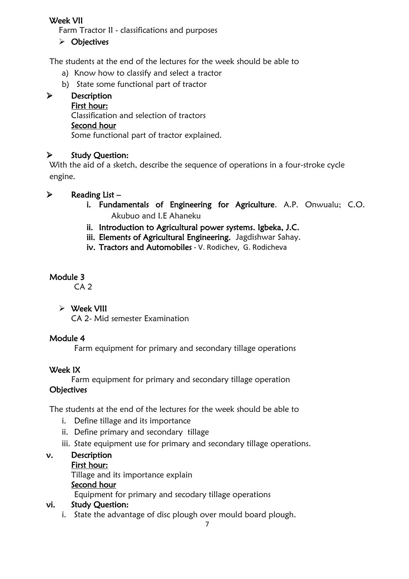## Week VII

Farm Tractor II - classifications and purposes

## $\triangleright$  Objectives

The students at the end of the lectures for the week should be able to

- a) Know how to classify and select a tractor
- b) State some functional part of tractor

## > Description

## First hour:

Classification and selection of tractors

## Second hour

Some functional part of tractor explained.

## $\triangleright$  Study Question:

With the aid of a sketch, describe the sequence of operations in a four-stroke cycle engine.

## $\triangleright$  Reading List –

- i. Fundamentals of Engineering for Agriculture. A.P. Onwualu; C.O. Akubuo and I.E Ahaneku
- ii. Introduction to Agricultural power systems. Igbeka, J.C.
- iii. Elements of Agricultural Engineering. Jagdishwar Sahay.
- iv. Tractors and Automobiles V. Rodichev, G. Rodicheva

## Module 3

CA 2

## $\triangleright$  Week VIII

CA 2- Mid semester Examination

## Module 4

Farm equipment for primary and secondary tillage operations

## Week IX

Farm equipment for primary and secondary tillage operation

## **Objectives**

The students at the end of the lectures for the week should be able to

- i. Define tillage and its importance
- ii. Define primary and secondary tillage
- iii. State equipment use for primary and secondary tillage operations.

## v. Description

## First hour:

Tillage and its importance explain

## Second hour

Equipment for primary and secodary tillage operations

## vi. Study Question:

i. State the advantage of disc plough over mould board plough.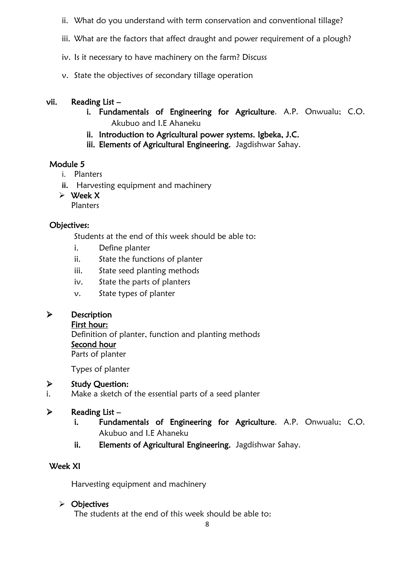- ii. What do you understand with term conservation and conventional tillage?
- iii. What are the factors that affect draught and power requirement of a plough?
- iv. Is it necessary to have machinery on the farm? Discuss
- v. State the objectives of secondary tillage operation

#### vii. Reading List –

- i. Fundamentals of Engineering for Agriculture. A.P. Onwualu; C.O. Akubuo and I.E Ahaneku
- ii. Introduction to Agricultural power systems. Igbeka, J.C.
- iii. Elements of Agricultural Engineering. Jagdishwar Sahay.

## Module 5

- i. Planters
- **ii.** Harvesting equipment and machinery
- $\triangleright$  Week X Planters

## Objectives:

Students at the end of this week should be able to:

- i. Define planter
- ii. State the functions of planter
- iii. State seed planting methods
- iv. State the parts of planters
- v. State types of planter

## > Description

#### First hour:

Definition of planter, function and planting methods Second hour Parts of planter

Types of planter

## $\triangleright$  Study Question:

i. Make a sketch of the essential parts of a seed planter

## $\triangleright$  Reading List –

- i. Fundamentals of Engineering for Agriculture. A.P. Onwualu; C.O. Akubuo and I.E Ahaneku
- ii. Elements of Agricultural Engineering. Jagdishwar Sahay.

## Week XI

Harvesting equipment and machinery

## $\triangleright$  Objectives

The students at the end of this week should be able to: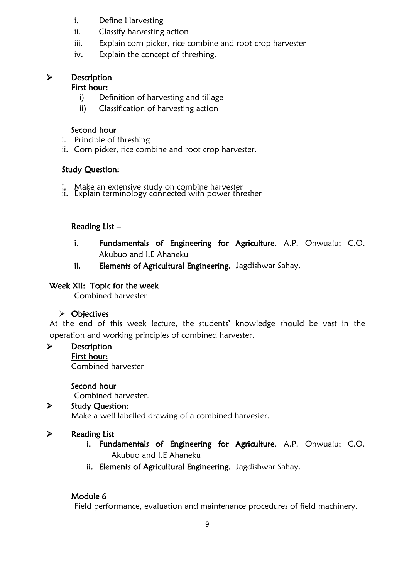- i. Define Harvesting
- ii. Classify harvesting action
- iii. Explain corn picker, rice combine and root crop harvester
- iv. Explain the concept of threshing.

## > Description

## First hour:

- i) Definition of harvesting and tillage
- ii) Classification of harvesting action

## Second hour

- i. Principle of threshing
- ii. Corn picker, rice combine and root crop harvester.

## Study Question:

- i. Make an extensive study on combine harvester
- ii. Explain terminology cońnected with power thresher

## Reading List –

- i. Fundamentals of Engineering for Agriculture. A.P. Onwualu; C.O. Akubuo and I.E Ahaneku
- ii. Elements of Agricultural Engineering. Jagdishwar Sahay.

## Week XII: Topic for the week

Combined harvester

## $\triangleright$  Objectives

At the end of this week lecture, the students' knowledge should be vast in the operation and working principles of combined harvester.

> Description

## First hour:

Combined harvester

## Second hour

Combined harvester.

## $\triangleright$  Study Question:

Make a well labelled drawing of a combined harvester.

## $\triangleright$  Reading List

- i. Fundamentals of Engineering for Agriculture. A.P. Onwualu; C.O. Akubuo and I.E Ahaneku
- ii. Elements of Agricultural Engineering. Jagdishwar Sahay.

## Module 6

Field performance, evaluation and maintenance procedures of field machinery.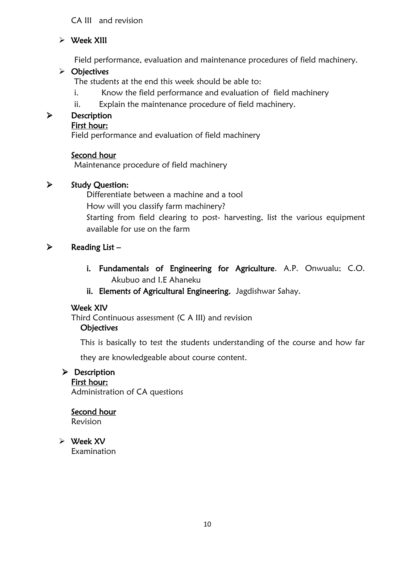## CA III and revision

## $\triangleright$  Week XIII

Field performance, evaluation and maintenance procedures of field machinery.

#### $\triangleright$  Objectives

The students at the end this week should be able to:

- i. Know the field performance and evaluation of field machinery
- ii. Explain the maintenance procedure of field machinery.

#### > Description

#### First hour:

Field performance and evaluation of field machinery

#### Second hour

Maintenance procedure of field machinery

#### $\triangleright$  Study Question:

Differentiate between a machine and a tool How will you classify farm machinery? Starting from field clearing to post- harvesting, list the various equipment available for use on the farm

#### $\triangleright$  Reading List –

- i. Fundamentals of Engineering for Agriculture. A.P. Onwualu; C.O. Akubuo and I.E Ahaneku
- ii. Elements of Agricultural Engineering. Jagdishwar Sahay.

#### Week XIV

Third Continuous assessment (C A III) and revision

## **Objectives**

This is basically to test the students understanding of the course and how far

they are knowledgeable about course content.

#### $\triangleright$  Description

First hour: Administration of CA questions

## Second hour

Revision

 Week XV Examination